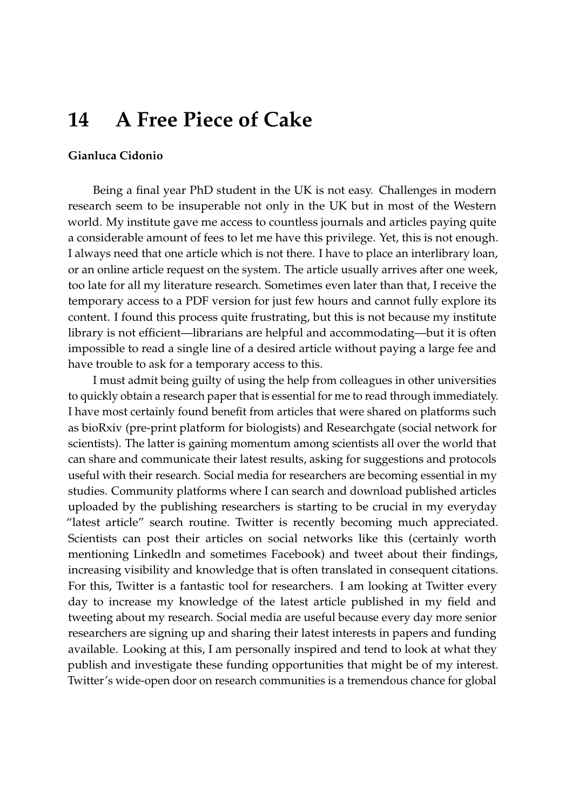## **14 A Free Piece of Cake**

## **Gianluca Cidonio**

Being a final year PhD student in the UK is not easy. Challenges in modern research seem to be insuperable not only in the UK but in most of the Western world. My institute gave me access to countless journals and articles paying quite a considerable amount of fees to let me have this privilege. Yet, this is not enough. I always need that one article which is not there. I have to place an interlibrary loan, or an online article request on the system. The article usually arrives after one week, too late for all my literature research. Sometimes even later than that, I receive the temporary access to a PDF version for just few hours and cannot fully explore its content. I found this process quite frustrating, but this is not because my institute library is not efficient—librarians are helpful and accommodating—but it is often impossible to read a single line of a desired article without paying a large fee and have trouble to ask for a temporary access to this.

I must admit being guilty of using the help from colleagues in other universities to quickly obtain a research paper that is essential for me to read through immediately. I have most certainly found benefit from articles that were shared on platforms such as bioRxiv (pre-print platform for biologists) and Researchgate (social network for scientists). The latter is gaining momentum among scientists all over the world that can share and communicate their latest results, asking for suggestions and protocols useful with their research. Social media for researchers are becoming essential in my studies. Community platforms where I can search and download published articles uploaded by the publishing researchers is starting to be crucial in my everyday "latest article" search routine. Twitter is recently becoming much appreciated. Scientists can post their articles on social networks like this (certainly worth mentioning Linkedln and sometimes Facebook) and tweet about their findings, increasing visibility and knowledge that is often translated in consequent citations. For this, Twitter is a fantastic tool for researchers. I am looking at Twitter every day to increase my knowledge of the latest article published in my field and tweeting about my research. Social media are useful because every day more senior researchers are signing up and sharing their latest interests in papers and funding available. Looking at this, I am personally inspired and tend to look at what they publish and investigate these funding opportunities that might be of my interest. Twitter's wide-open door on research communities is a tremendous chance for global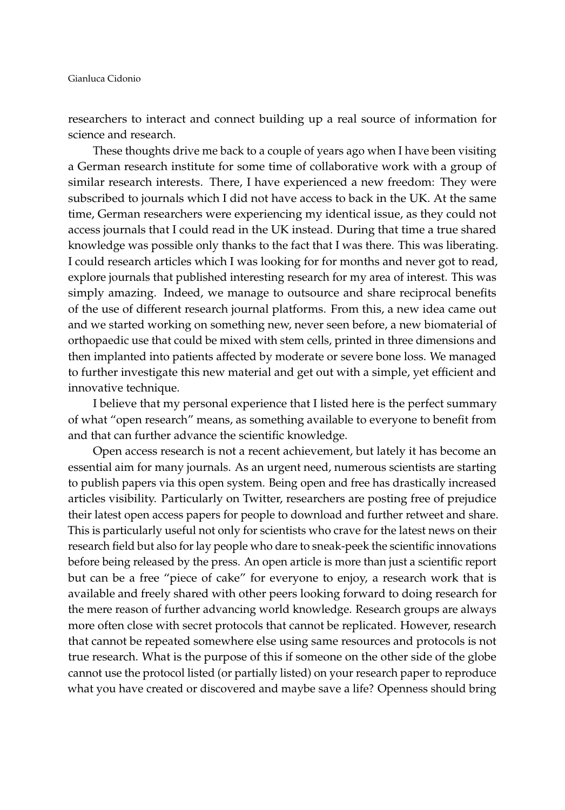researchers to interact and connect building up a real source of information for science and research.

These thoughts drive me back to a couple of years ago when I have been visiting a German research institute for some time of collaborative work with a group of similar research interests. There, I have experienced a new freedom: They were subscribed to journals which I did not have access to back in the UK. At the same time, German researchers were experiencing my identical issue, as they could not access journals that I could read in the UK instead. During that time a true shared knowledge was possible only thanks to the fact that I was there. This was liberating. I could research articles which I was looking for for months and never got to read, explore journals that published interesting research for my area of interest. This was simply amazing. Indeed, we manage to outsource and share reciprocal benefits of the use of different research journal platforms. From this, a new idea came out and we started working on something new, never seen before, a new biomaterial of orthopaedic use that could be mixed with stem cells, printed in three dimensions and then implanted into patients affected by moderate or severe bone loss. We managed to further investigate this new material and get out with a simple, yet efficient and innovative technique.

I believe that my personal experience that I listed here is the perfect summary of what "open research" means, as something available to everyone to benefit from and that can further advance the scientific knowledge.

Open access research is not a recent achievement, but lately it has become an essential aim for many journals. As an urgent need, numerous scientists are starting to publish papers via this open system. Being open and free has drastically increased articles visibility. Particularly on Twitter, researchers are posting free of prejudice their latest open access papers for people to download and further retweet and share. This is particularly useful not only for scientists who crave for the latest news on their research field but also for lay people who dare to sneak-peek the scientific innovations before being released by the press. An open article is more than just a scientific report but can be a free "piece of cake" for everyone to enjoy, a research work that is available and freely shared with other peers looking forward to doing research for the mere reason of further advancing world knowledge. Research groups are always more often close with secret protocols that cannot be replicated. However, research that cannot be repeated somewhere else using same resources and protocols is not true research. What is the purpose of this if someone on the other side of the globe cannot use the protocol listed (or partially listed) on your research paper to reproduce what you have created or discovered and maybe save a life? Openness should bring